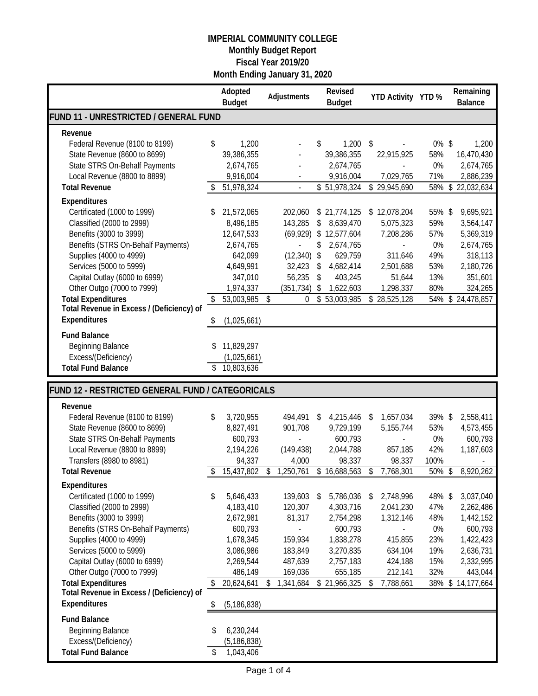|                                                          |    | Adopted<br><b>Budget</b> |    | Adjustments          | Revised<br><b>Budget</b>        |                         | YTD Activity YTD %        |            | Remaining<br><b>Balance</b>     |
|----------------------------------------------------------|----|--------------------------|----|----------------------|---------------------------------|-------------------------|---------------------------|------------|---------------------------------|
| FUND 11 - UNRESTRICTED / GENERAL FUND                    |    |                          |    |                      |                                 |                         |                           |            |                                 |
| Revenue                                                  |    |                          |    |                      |                                 |                         |                           |            |                                 |
| Federal Revenue (8100 to 8199)                           | \$ | 1,200                    |    |                      | \$<br>1,200                     | $\sqrt[6]{\frac{1}{2}}$ |                           | $0\%$ \$   | 1,200                           |
| State Revenue (8600 to 8699)                             |    | 39,386,355               |    |                      | 39,386,355                      |                         | 22,915,925                | 58%        | 16,470,430                      |
| State STRS On-Behalf Payments                            |    | 2,674,765                |    |                      | 2,674,765                       |                         |                           | 0%         | 2,674,765                       |
| Local Revenue (8800 to 8899)<br><b>Total Revenue</b>     |    | 9,916,004<br>51,978,324  |    |                      | 9,916,004<br>\$51,978,324       |                         | 7,029,765<br>\$29,945,690 | 71%<br>58% | 2,886,239<br>$\,$<br>22,032,634 |
|                                                          |    |                          |    |                      |                                 |                         |                           |            |                                 |
| Expenditures                                             |    |                          |    |                      |                                 |                         |                           |            |                                 |
| Certificated (1000 to 1999)<br>Classified (2000 to 2999) | \$ | 21,572,065               |    | 202,060              | \$21,774,125                    |                         | \$12,078,204              | 55% \$     | 9,695,921                       |
| Benefits (3000 to 3999)                                  |    | 8,496,185<br>12,647,533  |    | 143,285<br>(69, 929) | \$<br>8,639,470<br>\$12,577,604 |                         | 5,075,323<br>7,208,286    | 59%<br>57% | 3,564,147<br>5,369,319          |
| Benefits (STRS On-Behalf Payments)                       |    | 2,674,765                |    |                      | \$<br>2,674,765                 |                         |                           | 0%         | 2,674,765                       |
| Supplies (4000 to 4999)                                  |    | 642,099                  |    | (12, 340)            | \$<br>629,759                   |                         | 311,646                   | 49%        | 318,113                         |
| Services (5000 to 5999)                                  |    | 4,649,991                |    | 32,423               | \$<br>4,682,414                 |                         | 2,501,688                 | 53%        | 2,180,726                       |
| Capital Outlay (6000 to 6999)                            |    | 347,010                  |    | 56,235               | \$<br>403,245                   |                         | 51,644                    | 13%        | 351,601                         |
| Other Outgo (7000 to 7999)                               |    | 1,974,337                |    | (351, 734)           | \$<br>1,622,603                 |                         | 1,298,337                 | 80%        | 324,265                         |
| <b>Total Expenditures</b>                                | \$ | 53,003,985               | \$ | 0                    | \$53,003,985                    |                         | \$28,525,128              | 54%        | \$24,478,857                    |
| Total Revenue in Excess / (Deficiency) of                |    |                          |    |                      |                                 |                         |                           |            |                                 |
| Expenditures                                             | D  | (1,025,661)              |    |                      |                                 |                         |                           |            |                                 |
| <b>Fund Balance</b>                                      |    |                          |    |                      |                                 |                         |                           |            |                                 |
| <b>Beginning Balance</b>                                 | \$ | 11,829,297               |    |                      |                                 |                         |                           |            |                                 |
| Excess/(Deficiency)                                      |    | (1,025,661)              |    |                      |                                 |                         |                           |            |                                 |
| <b>Total Fund Balance</b>                                | \$ | 10,803,636               |    |                      |                                 |                         |                           |            |                                 |
| FUND 12 - RESTRICTED GENERAL FUND / CATEGORICALS         |    |                          |    |                      |                                 |                         |                           |            |                                 |
| Revenue                                                  |    |                          |    |                      |                                 |                         |                           |            |                                 |
| Federal Revenue (8100 to 8199)                           | \$ | 3,720,955                |    | 494,491              | \$<br>4,215,446                 | S                       | 1,657,034                 | 39%\$      | 2,558,411                       |
| State Revenue (8600 to 8699)                             |    | 8,827,491                |    | 901,708              | 9,729,199                       |                         | 5,155,744                 | 53%        | 4,573,455                       |
| State STRS On-Behalf Payments                            |    | 600,793                  |    |                      | 600,793                         |                         |                           | 0%         | 600,793                         |
| Local Revenue (8800 to 8899)                             |    | 2,194,226                |    | (149, 438)           | 2,044,788                       |                         | 857,185                   | 42%        | 1,187,603                       |
| Transfers (8980 to 8981)                                 |    | 94,337                   |    | 4,000                | 98,337                          |                         | 98,337                    | 100%       |                                 |
| <b>Total Revenue</b>                                     | \$ | 15,437,802               | \$ | 1,250,761            | \$16,688,563                    | \$                      | 7,768,301                 | 50%        | 8,920,262<br>\$                 |
| Expenditures                                             |    |                          |    |                      |                                 |                         |                           |            |                                 |
| Certificated (1000 to 1999)                              | \$ | 5,646,433                |    | 139,603              | \$<br>5,786,036                 | -\$                     | 2,748,996                 | 48% \$     | 3,037,040                       |
| Classified (2000 to 2999)                                |    | 4,183,410                |    | 120,307              | 4,303,716                       |                         | 2,041,230                 | 47%        | 2,262,486                       |
| Benefits (3000 to 3999)                                  |    | 2,672,981                |    | 81,317               | 2,754,298                       |                         | 1,312,146                 | 48%        | 1,442,152                       |
| Benefits (STRS On-Behalf Payments)                       |    | 600,793                  |    |                      | 600,793                         |                         |                           | 0%         | 600,793                         |
| Supplies (4000 to 4999)<br>Services (5000 to 5999)       |    | 1,678,345<br>3,086,986   |    | 159,934<br>183,849   | 1,838,278<br>3,270,835          |                         | 415,855<br>634,104        | 23%<br>19% | 1,422,423<br>2,636,731          |
| Capital Outlay (6000 to 6999)                            |    | 2,269,544                |    | 487,639              | 2,757,183                       |                         | 424,188                   | 15%        | 2,332,995                       |
| Other Outgo (7000 to 7999)                               |    | 486,149                  |    | 169,036              | 655,185                         |                         | 212,141                   | 32%        | 443,044                         |
| <b>Total Expenditures</b>                                | \$ | 20,624,641               | S  | 1,341,684            | \$21,966,325                    | \$                      | 7,788,661                 | 38%        | 14,177,664<br>\$                |
| Total Revenue in Excess / (Deficiency) of                |    |                          |    |                      |                                 |                         |                           |            |                                 |
| Expenditures                                             | \$ | (5, 186, 838)            |    |                      |                                 |                         |                           |            |                                 |
| <b>Fund Balance</b>                                      |    |                          |    |                      |                                 |                         |                           |            |                                 |
| <b>Beginning Balance</b>                                 | \$ | 6,230,244                |    |                      |                                 |                         |                           |            |                                 |
| Excess/(Deficiency)                                      |    | (5, 186, 838)            |    |                      |                                 |                         |                           |            |                                 |
| <b>Total Fund Balance</b>                                | \$ | 1,043,406                |    |                      |                                 |                         |                           |            |                                 |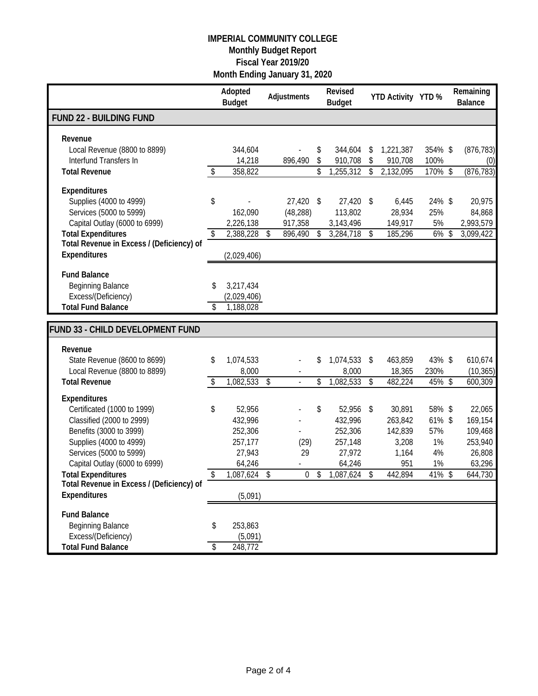|                                                                                                                                                                                                   |          | Adopted<br><b>Budget</b>                                    |            | Adjustments                    |          | Revised<br><b>Budget</b>                                       |              | YTD Activity YTD %                                    |                                           | Remaining<br><b>Balance</b>                                 |
|---------------------------------------------------------------------------------------------------------------------------------------------------------------------------------------------------|----------|-------------------------------------------------------------|------------|--------------------------------|----------|----------------------------------------------------------------|--------------|-------------------------------------------------------|-------------------------------------------|-------------------------------------------------------------|
| <b>FUND 22 - BUILDING FUND</b>                                                                                                                                                                    |          |                                                             |            |                                |          |                                                                |              |                                                       |                                           |                                                             |
| Revenue<br>Local Revenue (8800 to 8899)<br>Interfund Transfers In                                                                                                                                 |          | 344,604<br>14,218                                           |            | 896,490                        | \$<br>\$ | 344,604<br>910,708                                             | \$<br>\$     | 1,221,387<br>910,708                                  | 354% \$<br>100%                           | (876, 783)<br>(0)                                           |
| <b>Total Revenue</b>                                                                                                                                                                              | \$       | 358,822                                                     |            |                                | \$       | 1,255,312                                                      | \$           | 2,132,095                                             | 170% \$                                   | (876, 783)                                                  |
| Expenditures<br>Supplies (4000 to 4999)<br>Services (5000 to 5999)<br>Capital Outlay (6000 to 6999)                                                                                               | \$       | 162,090<br>2,226,138                                        |            | 27,420<br>(48, 288)<br>917,358 | \$       | 27,420<br>113,802<br>3,143,496                                 | -\$          | 6,445<br>28,934<br>149,917                            | 24% \$<br>25%<br>5%                       | 20,975<br>84,868<br>2,993,579                               |
| <b>Total Expenditures</b>                                                                                                                                                                         | \$       | 2,388,228                                                   | \$         | 896,490                        | \$       | 3,284,718                                                      | $\sqrt[6]{}$ | 185,296                                               | 6%                                        | \$<br>3,099,422                                             |
| Total Revenue in Excess / (Deficiency) of<br>Expenditures                                                                                                                                         |          | (2,029,406)                                                 |            |                                |          |                                                                |              |                                                       |                                           |                                                             |
| <b>Fund Balance</b><br><b>Beginning Balance</b><br>Excess/(Deficiency)<br><b>Total Fund Balance</b>                                                                                               | \$<br>\$ | 3,217,434<br>(2,029,406)<br>1,188,028                       |            |                                |          |                                                                |              |                                                       |                                           |                                                             |
| FUND 33 - CHILD DEVELOPMENT FUND                                                                                                                                                                  |          |                                                             |            |                                |          |                                                                |              |                                                       |                                           |                                                             |
| Revenue                                                                                                                                                                                           |          |                                                             |            |                                |          |                                                                |              |                                                       |                                           |                                                             |
| State Revenue (8600 to 8699)<br>Local Revenue (8800 to 8899)                                                                                                                                      | \$       | 1,074,533<br>8,000                                          |            |                                | \$       | 1,074,533 \$<br>8,000                                          |              | 463,859<br>18,365                                     | 43% \$<br>230%                            | 610,674<br>(10, 365)                                        |
| <b>Total Revenue</b>                                                                                                                                                                              | \$       | 1,082,533                                                   | $\sqrt{3}$ |                                | \$       | 1,082,533                                                      | \$           | 482,224                                               | 45% \$                                    | 600,309                                                     |
| <b>Expenditures</b><br>Certificated (1000 to 1999)<br>Classified (2000 to 2999)<br>Benefits (3000 to 3999)<br>Supplies (4000 to 4999)<br>Services (5000 to 5999)<br>Capital Outlay (6000 to 6999) | \$       | 52,956<br>432,996<br>252,306<br>257,177<br>27,943<br>64,246 |            | (29)<br>29                     | \$       | 52,956 \$<br>432,996<br>252,306<br>257,148<br>27,972<br>64,246 |              | 30,891<br>263,842<br>142,839<br>3,208<br>1,164<br>951 | 58% \$<br>61% \$<br>57%<br>1%<br>4%<br>1% | 22,065<br>169,154<br>109,468<br>253,940<br>26,808<br>63,296 |
| <b>Total Expenditures</b>                                                                                                                                                                         | \$       | 1,087,624                                                   | \$         | $\mathbf{0}$                   | \$       | 1,087,624                                                      | \$           | 442,894                                               | 41% \$                                    | 644,730                                                     |
| Total Revenue in Excess / (Deficiency) of<br><b>Expenditures</b>                                                                                                                                  |          | (5,091)                                                     |            |                                |          |                                                                |              |                                                       |                                           |                                                             |
| <b>Fund Balance</b><br><b>Beginning Balance</b><br>Excess/(Deficiency)<br><b>Total Fund Balance</b>                                                                                               | \$<br>\$ | 253,863<br>(5,091)<br>248,772                               |            |                                |          |                                                                |              |                                                       |                                           |                                                             |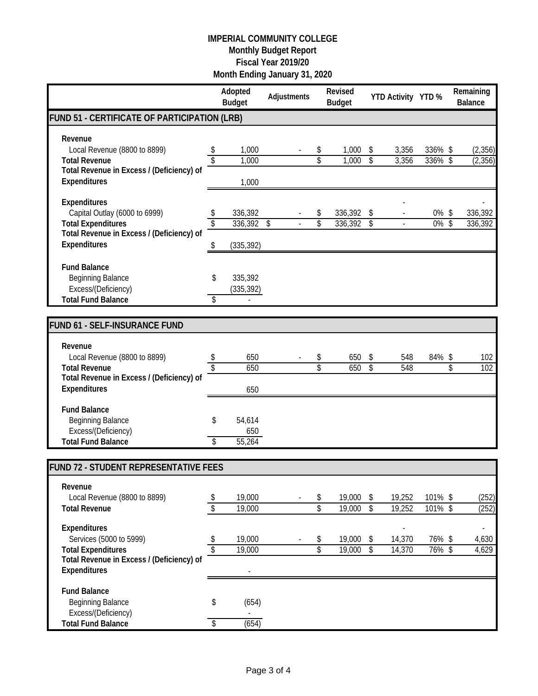|          | <b>Budget</b>                    | Adjustments                                                                                                      |          | Revised<br><b>Budget</b> |          |                  |     |                    | Remaining<br><b>Balance</b>                                                             |
|----------|----------------------------------|------------------------------------------------------------------------------------------------------------------|----------|--------------------------|----------|------------------|-----|--------------------|-----------------------------------------------------------------------------------------|
|          |                                  |                                                                                                                  |          |                          |          |                  |     |                    |                                                                                         |
|          | 1,000<br>1,000                   |                                                                                                                  | \$<br>\$ | 1,000<br>1,000           | \$<br>\$ | 3,356<br>3,356   |     |                    | (2,356)<br>(2, 356)                                                                     |
|          | 1,000                            |                                                                                                                  |          |                          |          |                  |     |                    |                                                                                         |
| \$<br>\$ | 336,392<br>336,392<br>(335, 392) | \$                                                                                                               | \$<br>\$ | 336,392<br>336,392       | \$<br>\$ |                  | 0%  |                    | 336,392<br>336,392                                                                      |
| \$<br>\$ | 335,392<br>(335, 392)            |                                                                                                                  |          |                          |          |                  |     |                    |                                                                                         |
|          |                                  |                                                                                                                  |          |                          |          |                  |     |                    |                                                                                         |
| \$<br>\$ | 650<br>650                       |                                                                                                                  | \$<br>\$ | 650<br>650               | \$<br>\$ | 548<br>548       | 84% | \$                 | 102<br>102                                                                              |
| \$<br>\$ | 54,614<br>650<br>55,264          |                                                                                                                  |          |                          |          |                  |     |                    |                                                                                         |
|          |                                  |                                                                                                                  |          |                          |          |                  |     |                    |                                                                                         |
| \$       | 19,000<br>19,000                 |                                                                                                                  | \$<br>\$ | 19,000<br>19,000         | \$<br>\$ | 19,252<br>19,252 |     |                    | (252)<br>(252)                                                                          |
| \$<br>\$ | 19,000<br>19,000                 |                                                                                                                  | \$<br>\$ | 19,000<br>19,000         | \$<br>\$ | 14,370<br>14,370 |     |                    | 4,630<br>4,629                                                                          |
|          |                                  |                                                                                                                  |          |                          |          |                  |     |                    |                                                                                         |
| \$       | (654)                            |                                                                                                                  |          |                          |          |                  |     |                    |                                                                                         |
|          | \$                               | Adopted<br>FUND 51 - CERTIFICATE OF PARTICIPATION (LRB)<br>650<br>FUND 72 - STUDENT REPRESENTATIVE FEES<br>(654) |          |                          |          |                  |     | YTD Activity YTD % | 336% \$<br>336%\$<br>0%\$<br>$\sqrt{2}$<br>\$<br>101% \$<br>101% \$<br>76% \$<br>76% \$ |